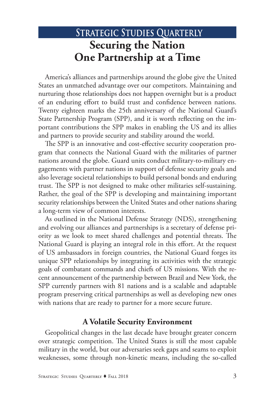# STRATEGIC STUDIES QUARTERLY **Securing the Nation One Partnership at a Time**

America's alliances and partnerships around the globe give the United States an unmatched advantage over our competitors. Maintaining and nurturing those relationships does not happen overnight but is a product of an enduring effort to build trust and confidence between nations. Twenty eighteen marks the 25th anniversary of the National Guard's State Partnership Program (SPP), and it is worth reflecting on the important contributions the SPP makes in enabling the US and its allies and partners to provide security and stability around the world.

The SPP is an innovative and cost-effective security cooperation program that connects the National Guard with the militaries of partner nations around the globe. Guard units conduct military-to-military engagements with partner nations in support of defense security goals and also leverage societal relationships to build personal bonds and enduring trust. The SPP is not designed to make other militaries self-sustaining. Rather, the goal of the SPP is developing and maintaining important security relationships between the United States and other nations sharing a long-term view of common interests.

As outlined in the National Defense Strategy (NDS), strengthening and evolving our alliances and partnerships is a secretary of defense priority as we look to meet shared challenges and potential threats. The National Guard is playing an integral role in this effort. At the request of US ambassadors in foreign countries, the National Guard forges its unique SPP relationships by integrating its activities with the strategic goals of combatant commands and chiefs of US missions. With the recent announcement of the partnership between Brazil and New York, the SPP currently partners with 81 nations and is a scalable and adaptable program preserving critical partnerships as well as developing new ones with nations that are ready to partner for a more secure future.

# **A Volatile Security Environment**

Geopolitical changes in the last decade have brought greater concern over strategic competition. The United States is still the most capable military in the world, but our adversaries seek gaps and seams to exploit weaknesses, some through non-kinetic means, including the so-called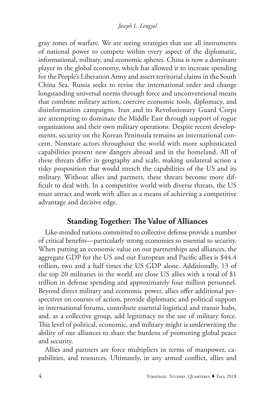gray zones of warfare. We are seeing strategies that use all instruments of national power to compete within every aspect of the diplomatic, informational, military, and economic spheres. China is now a dominant player in the global economy, which has allowed it to increase spending for the People's Liberation Army and assert territorial claims in the South China Sea. Russia seeks to revise the international order and change longstanding universal norms through force and unconventional means that combine military action, coercive economic tools, diplomacy, and disinformation campaigns. Iran and its Revolutionary Guard Corps are attempting to dominate the Middle East through support of rogue organizations and their own military operations. Despite recent developments, security on the Korean Peninsula remains an international concern. Nonstate actors throughout the world with more sophisticated capabilities present new dangers abroad and in the homeland. All of these threats differ in geography and scale, making unilateral action a risky proposition that would stretch the capabilities of the US and its military. Without allies and partners, these threats become more difficult to deal with. In a competitive world with diverse threats, the US must attract and work with allies as a means of achieving a competitive advantage and decisive edge.

# **Standing Together: The Value of Alliances**

Like-minded nations committed to collective defense provide a number of critical benefits—particularly strong economies so essential to security. When putting an economic value on our partnerships and alliances, the aggregate GDP for the US and our European and Pacific allies is \$44.4 trillion, two and a half times the US GDP alone. Additionally, 13 of the top 20 militaries in the world are close US allies with a total of \$1 trillion in defense spending and approximately four million personnel. Beyond direct military and economic power, allies offer additional perspectives on courses of action, provide diplomatic and political support in international forums, contribute essential logistical and transit hubs, and, as a collective group, add legitimacy to the use of military force. This level of political, economic, and military might is underwriting the ability of our alliances to share the burdens of promoting global peace and security.

Allies and partners are force multipliers in terms of manpower, capabilities, and resources. Ultimately, in any armed conflict, allies and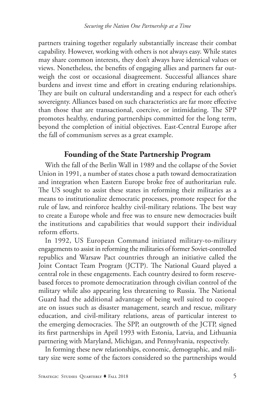partners training together regularly substantially increase their combat capability. However, working with others is not always easy. While states may share common interests, they don't always have identical values or views. Nonetheless, the benefits of engaging allies and partners far outweigh the cost or occasional disagreement. Successful alliances share burdens and invest time and effort in creating enduring relationships. They are built on cultural understanding and a respect for each other's sovereignty. Alliances based on such characteristics are far more effective than those that are transactional, coercive, or intimidating. The SPP promotes healthy, enduring partnerships committed for the long term, beyond the completion of initial objectives. East-Central Europe after the fall of communism serves as a great example.

# **Founding of the State Partnership Program**

With the fall of the Berlin Wall in 1989 and the collapse of the Soviet Union in 1991, a number of states chose a path toward democratization and integration when Eastern Europe broke free of authoritarian rule. The US sought to assist these states in reforming their militaries as a means to institutionalize democratic processes, promote respect for the rule of law, and reinforce healthy civil-military relations. The best way to create a Europe whole and free was to ensure new democracies built the institutions and capabilities that would support their individual reform efforts.

In 1992, US European Command initiated military-to-military engagements to assist in reforming the militaries of former Soviet-controlled republics and Warsaw Pact countries through an initiative called the Joint Contact Team Program (JCTP). The National Guard played a central role in these engagements. Each country desired to form reservebased forces to promote democratization through civilian control of the military while also appearing less threatening to Russia. The National Guard had the additional advantage of being well suited to cooperate on issues such as disaster management, search and rescue, military education, and civil-military relations, areas of particular interest to the emerging democracies. The SPP, an outgrowth of the JCTP, signed its first partnerships in April 1993 with Estonia, Latvia, and Lithuania partnering with Maryland, Michigan, and Pennsylvania, respectively.

In forming these new relationships, economic, demographic, and military size were some of the factors considered so the partnerships would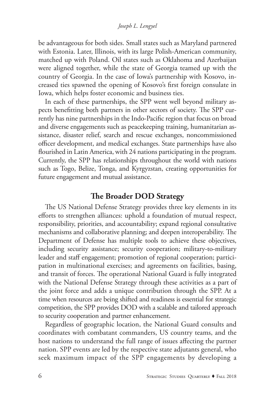#### *Joseph L. Lengyel*

be advantageous for both sides. Small states such as Maryland partnered with Estonia. Later, Illinois, with its large Polish-American community, matched up with Poland. Oil states such as Oklahoma and Azerbaijan were aligned together, while the state of Georgia teamed up with the country of Georgia. In the case of Iowa's partnership with Kosovo, increased ties spawned the opening of Kosovo's first foreign consulate in Iowa, which helps foster economic and business ties.

In each of these partnerships, the SPP went well beyond military aspects benefitting both partners in other sectors of society. The SPP currently has nine partnerships in the Indo-Pacific region that focus on broad and diverse engagements such as peacekeeping training, humanitarian assistance, disaster relief, search and rescue exchanges, noncommissioned officer development, and medical exchanges. State partnerships have also flourished in Latin America, with 24 nations participating in the program. Currently, the SPP has relationships throughout the world with nations such as Togo, Belize, Tonga, and Kyrgyzstan, creating opportunities for future engagement and mutual assistance.

# **The Broader DOD Strategy**

The US National Defense Strategy provides three key elements in its efforts to strengthen alliances: uphold a foundation of mutual respect, responsibility, priorities, and accountability; expand regional consultative mechanisms and collaborative planning; and deepen interoperability. The Department of Defense has multiple tools to achieve these objectives, including security assistance; security cooperation; military-to-military leader and staff engagement; promotion of regional cooperation; participation in multinational exercises; and agreements on facilities, basing, and transit of forces. The operational National Guard is fully integrated with the National Defense Strategy through these activities as a part of the joint force and adds a unique contribution through the SPP. At a time when resources are being shifted and readiness is essential for strategic competition, the SPP provides DOD with a scalable and tailored approach to security cooperation and partner enhancement.

Regardless of geographic location, the National Guard consults and coordinates with combatant commanders, US country teams, and the host nations to understand the full range of issues affecting the partner nation. SPP events are led by the respective state adjutants general, who seek maximum impact of the SPP engagements by developing a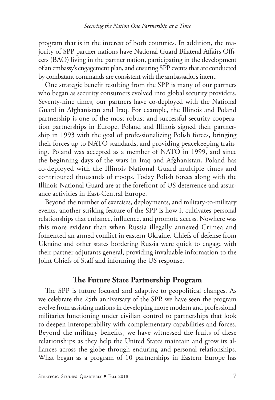program that is in the interest of both countries. In addition, the majority of SPP partner nations have National Guard Bilateral Affairs Officers (BAO) living in the partner nation, participating in the development of an embassy's engagement plan, and ensuring SPP events that are conducted by combatant commands are consistent with the ambassador's intent.

One strategic benefit resulting from the SPP is many of our partners who began as security consumers evolved into global security providers. Seventy-nine times, our partners have co-deployed with the National Guard in Afghanistan and Iraq. For example, the Illinois and Poland partnership is one of the most robust and successful security cooperation partnerships in Europe. Poland and Illinois signed their partnership in 1993 with the goal of professionalizing Polish forces, bringing their forces up to NATO standards, and providing peacekeeping training. Poland was accepted as a member of NATO in 1999, and since the beginning days of the wars in Iraq and Afghanistan, Poland has co-deployed with the Illinois National Guard multiple times and contributed thousands of troops. Today Polish forces along with the Illinois National Guard are at the forefront of US deterrence and assurance activities in East-Central Europe.

Beyond the number of exercises, deployments, and military-to-military events, another striking feature of the SPP is how it cultivates personal relationships that enhance, influence, and promote access. Nowhere was this more evident than when Russia illegally annexed Crimea and fomented an armed conflict in eastern Ukraine. Chiefs of defense from Ukraine and other states bordering Russia were quick to engage with their partner adjutants general, providing invaluable information to the Joint Chiefs of Staff and informing the US response.

## **The Future State Partnership Program**

The SPP is future focused and adaptive to geopolitical changes. As we celebrate the 25th anniversary of the SPP, we have seen the program evolve from assisting nations in developing more modern and professional militaries functioning under civilian control to partnerships that look to deepen interoperability with complementary capabilities and forces. Beyond the military benefits, we have witnessed the fruits of these relationships as they help the United States maintain and grow its alliances across the globe through enduring and personal relationships. What began as a program of 10 partnerships in Eastern Europe has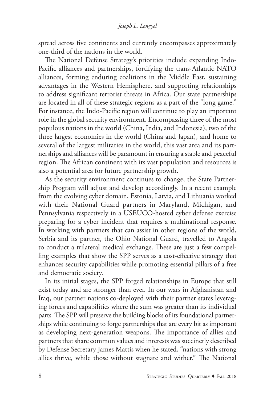spread across five continents and currently encompasses approximately one-third of the nations in the world.

The National Defense Strategy's priorities include expanding Indo-Pacific alliances and partnerships, fortifying the trans-Atlantic NATO alliances, forming enduring coalitions in the Middle East, sustaining advantages in the Western Hemisphere, and supporting relationships to address significant terrorist threats in Africa. Our state partnerships are located in all of these strategic regions as a part of the "long game." For instance, the Indo-Pacific region will continue to play an important role in the global security environment. Encompassing three of the most populous nations in the world (China, India, and Indonesia), two of the three largest economies in the world (China and Japan), and home to several of the largest militaries in the world, this vast area and its partnerships and alliances will be paramount in ensuring a stable and peaceful region. The African continent with its vast population and resources is also a potential area for future partnership growth.

As the security environment continues to change, the State Partnership Program will adjust and develop accordingly. In a recent example from the evolving cyber domain, Estonia, Latvia, and Lithuania worked with their National Guard partners in Maryland, Michigan, and Pennsylvania respectively in a USEUCO-hosted cyber defense exercise preparing for a cyber incident that requires a multinational response. In working with partners that can assist in other regions of the world, Serbia and its partner, the Ohio National Guard, travelled to Angola to conduct a trilateral medical exchange. These are just a few compelling examples that show the SPP serves as a cost-effective strategy that enhances security capabilities while promoting essential pillars of a free and democratic society.

In its initial stages, the SPP forged relationships in Europe that still exist today and are stronger than ever. In our wars in Afghanistan and Iraq, our partner nations co-deployed with their partner states leveraging forces and capabilities where the sum was greater than its individual parts. The SPP will preserve the building blocks of its foundational partnerships while continuing to forge partnerships that are every bit as important as developing next-generation weapons. The importance of allies and partners that share common values and interests was succinctly described by Defense Secretary James Mattis when he stated, "nations with strong allies thrive, while those without stagnate and wither." The National